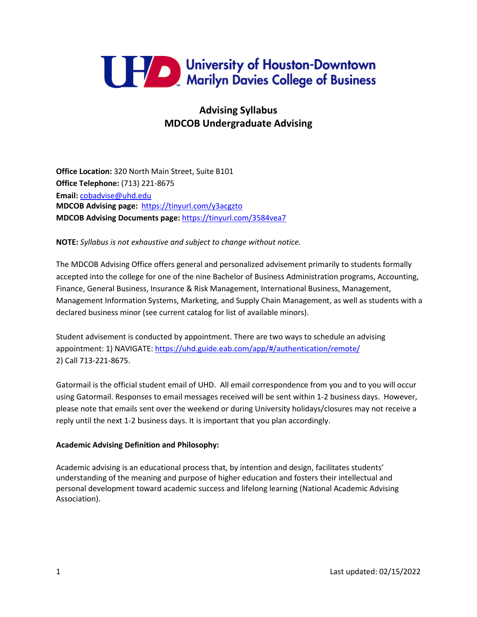

# **Advising Syllabus MDCOB Undergraduate Advising**

**Office Location:** 320 North Main Street, Suite B101 **Office Telephone:** (713) 221-8675 **Email:** [cobadvise@uhd.edu](mailto:cobadvise@uhd.edu) **MDCOB Advising page:** <https://tinyurl.com/y3acgzto> **MDCOB Advising Documents page:** <https://tinyurl.com/3584vea7>

**NOTE:** *Syllabus is not exhaustive and subject to change without notice.*

The MDCOB Advising Office offers general and personalized advisement primarily to students formally accepted into the college for one of the nine Bachelor of Business Administration programs, Accounting, Finance, General Business, Insurance & Risk Management, International Business, Management, Management Information Systems, Marketing, and Supply Chain Management, as well as students with a declared business minor (see current catalog for list of available minors).

Student advisement is conducted by appointment. There are two ways to schedule an advising appointment: 1) NAVIGATE:<https://uhd.guide.eab.com/app/#/authentication/remote/> 2) Call 713-221-8675.

Gatormail is the official student email of UHD. All email correspondence from you and to you will occur using Gatormail. Responses to email messages received will be sent within 1-2 business days. However, please note that emails sent over the weekend or during University holidays/closures may not receive a reply until the next 1-2 business days. It is important that you plan accordingly.

## **Academic Advising Definition and Philosophy:**

Academic advising is an educational process that, by intention and design, facilitates students' understanding of the meaning and purpose of higher education and fosters their intellectual and personal development toward academic success and lifelong learning (National Academic Advising Association).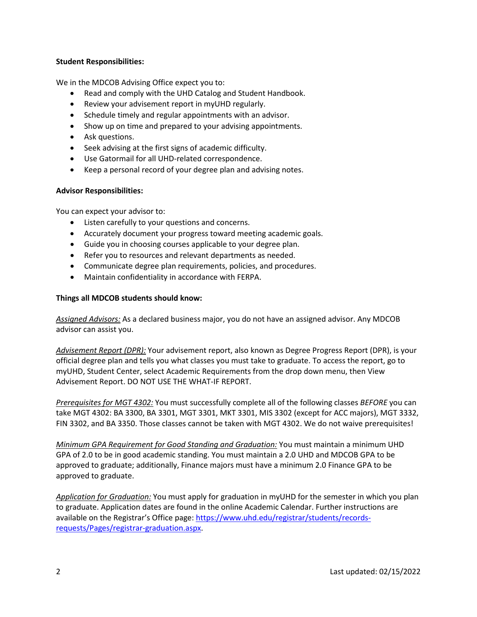## **Student Responsibilities:**

We in the MDCOB Advising Office expect you to:

- Read and comply with the UHD Catalog and Student Handbook.
- Review your advisement report in myUHD regularly.
- Schedule timely and regular appointments with an advisor.
- Show up on time and prepared to your advising appointments.
- Ask questions.
- Seek advising at the first signs of academic difficulty.
- Use Gatormail for all UHD-related correspondence.
- Keep a personal record of your degree plan and advising notes.

## **Advisor Responsibilities:**

You can expect your advisor to:

- Listen carefully to your questions and concerns.
- Accurately document your progress toward meeting academic goals.
- Guide you in choosing courses applicable to your degree plan.
- Refer you to resources and relevant departments as needed.
- Communicate degree plan requirements, policies, and procedures.
- Maintain confidentiality in accordance with FERPA.

## **Things all MDCOB students should know:**

*Assigned Advisors:* As a declared business major, you do not have an assigned advisor. Any MDCOB advisor can assist you.

*Advisement Report (DPR):* Your advisement report, also known as Degree Progress Report (DPR), is your official degree plan and tells you what classes you must take to graduate. To access the report, go to myUHD, Student Center, select Academic Requirements from the drop down menu, then View Advisement Report. DO NOT USE THE WHAT-IF REPORT.

*Prerequisites for MGT 4302:* You must successfully complete all of the following classes *BEFORE* you can take MGT 4302: BA 3300, BA 3301, MGT 3301, MKT 3301, MIS 3302 (except for ACC majors), MGT 3332, FIN 3302, and BA 3350. Those classes cannot be taken with MGT 4302. We do not waive prerequisites!

*Minimum GPA Requirement for Good Standing and Graduation:* You must maintain a minimum UHD GPA of 2.0 to be in good academic standing. You must maintain a 2.0 UHD and MDCOB GPA to be approved to graduate; additionally, Finance majors must have a minimum 2.0 Finance GPA to be approved to graduate.

*Application for Graduation:* You must apply for graduation in myUHD for the semester in which you plan to graduate. Application dates are found in the online Academic Calendar. Further instructions are available on the Registrar's Office page[: https://www.uhd.edu/registrar/students/records](https://www.uhd.edu/registrar/students/records-requests/Pages/registrar-graduation.aspx)[requests/Pages/registrar-graduation.aspx.](https://www.uhd.edu/registrar/students/records-requests/Pages/registrar-graduation.aspx)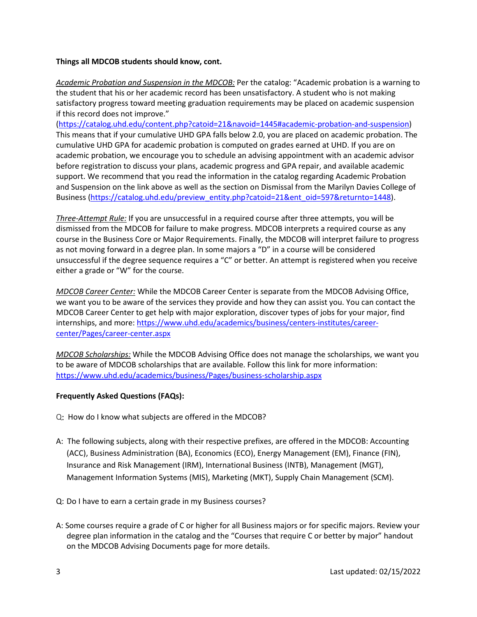## **Things all MDCOB students should know, cont.**

*Academic Probation and Suspension in the MDCOB:* Per the catalog: "Academic probation is a warning to the student that his or her academic record has been unsatisfactory. A student who is not making satisfactory progress toward meeting graduation requirements may be placed on academic suspension if this record does not improve."

[\(https://catalog.uhd.edu/content.php?catoid=21&navoid=1445#academic-probation-and-suspension\)](https://catalog.uhd.edu/content.php?catoid=21&navoid=1445#academic-probation-and-suspension) This means that if your cumulative UHD GPA falls below 2.0, you are placed on academic probation. The cumulative UHD GPA for academic probation is computed on grades earned at UHD. If you are on academic probation, we encourage you to schedule an advising appointment with an academic advisor before registration to discuss your plans, academic progress and GPA repair, and available academic support. We recommend that you read the information in the catalog regarding Academic Probation and Suspension on the link above as well as the section on Dismissal from the Marilyn Davies College of Business [\(https://catalog.uhd.edu/preview\\_entity.php?catoid=21&ent\\_oid=597&returnto=1448\)](https://catalog.uhd.edu/preview_entity.php?catoid=21&ent_oid=597&returnto=1448).

*Three-Attempt Rule:* If you are unsuccessful in a required course after three attempts, you will be dismissed from the MDCOB for failure to make progress. MDCOB interprets a required course as any course in the Business Core or Major Requirements. Finally, the MDCOB will interpret failure to progress as not moving forward in a degree plan. In some majors a "D" in a course will be considered unsuccessful if the degree sequence requires a "C" or better. An attempt is registered when you receive either a grade or "W" for the course.

*MDCOB Career Center:* While the MDCOB Career Center is separate from the MDCOB Advising Office, we want you to be aware of the services they provide and how they can assist you. You can contact the MDCOB Career Center to get help with major exploration, discover types of jobs for your major, find internships, and more[: https://www.uhd.edu/academics/business/centers-institutes/career](https://www.uhd.edu/academics/business/centers-institutes/career-center/Pages/career-center.aspx)[center/Pages/career-center.aspx](https://www.uhd.edu/academics/business/centers-institutes/career-center/Pages/career-center.aspx)

*MDCOB Scholarships:* While the MDCOB Advising Office does not manage the scholarships, we want you to be aware of MDCOB scholarships that are available. Follow this link for more information: <https://www.uhd.edu/academics/business/Pages/business-scholarship.aspx>

## **Frequently Asked Questions (FAQs):**

- Q: How do I know what subjects are offered in the MDCOB?
- A: The following subjects, along with their respective prefixes, are offered in the MDCOB: Accounting (ACC), Business Administration (BA), Economics (ECO), Energy Management (EM), Finance (FIN), Insurance and Risk Management (IRM), International Business (INTB), Management (MGT), Management Information Systems (MIS), Marketing (MKT), Supply Chain Management (SCM).
- Q: Do I have to earn a certain grade in my Business courses?
- A: Some courses require a grade of C or higher for all Business majors or for specific majors. Review your degree plan information in the catalog and the "Courses that require C or better by major" handout on the MDCOB Advising Documents page for more details.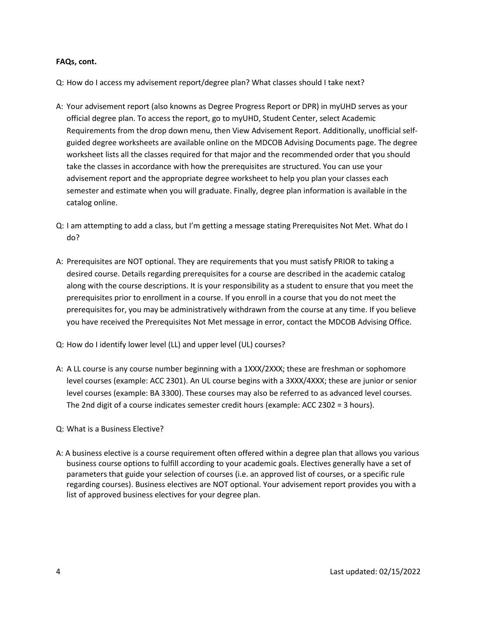## **FAQs, cont.**

Q: How do I access my advisement report/degree plan? What classes should I take next?

- A: Your advisement report (also knowns as Degree Progress Report or DPR) in myUHD serves as your official degree plan. To access the report, go to myUHD, Student Center, select Academic Requirements from the drop down menu, then View Advisement Report. Additionally, unofficial selfguided degree worksheets are available online on the MDCOB Advising Documents page. The degree worksheet lists all the classes required for that major and the recommended order that you should take the classes in accordance with how the prerequisites are structured. You can use your advisement report and the appropriate degree worksheet to help you plan your classes each semester and estimate when you will graduate. Finally, degree plan information is available in the catalog online.
- Q: I am attempting to add a class, but I'm getting a message stating Prerequisites Not Met. What do I do?
- A: Prerequisites are NOT optional. They are requirements that you must satisfy PRIOR to taking a desired course. Details regarding prerequisites for a course are described in the academic catalog along with the course descriptions. It is your responsibility as a student to ensure that you meet the prerequisites prior to enrollment in a course. If you enroll in a course that you do not meet the prerequisites for, you may be administratively withdrawn from the course at any time. If you believe you have received the Prerequisites Not Met message in error, contact the MDCOB Advising Office.
- Q: How do I identify lower level (LL) and upper level (UL) courses?
- A: A LL course is any course number beginning with a 1XXX/2XXX; these are freshman or sophomore level courses (example: ACC 2301). An UL course begins with a 3XXX/4XXX; these are junior or senior level courses (example: BA 3300). These courses may also be referred to as advanced level courses. The 2nd digit of a course indicates semester credit hours (example: ACC 2302 = 3 hours).
- Q: What is a Business Elective?
- A: A business elective is a course requirement often offered within a degree plan that allows you various business course options to fulfill according to your academic goals. Electives generally have a set of parameters that guide your selection of courses (i.e. an approved list of courses, or a specific rule regarding courses). Business electives are NOT optional. Your advisement report provides you with a list of approved business electives for your degree plan.